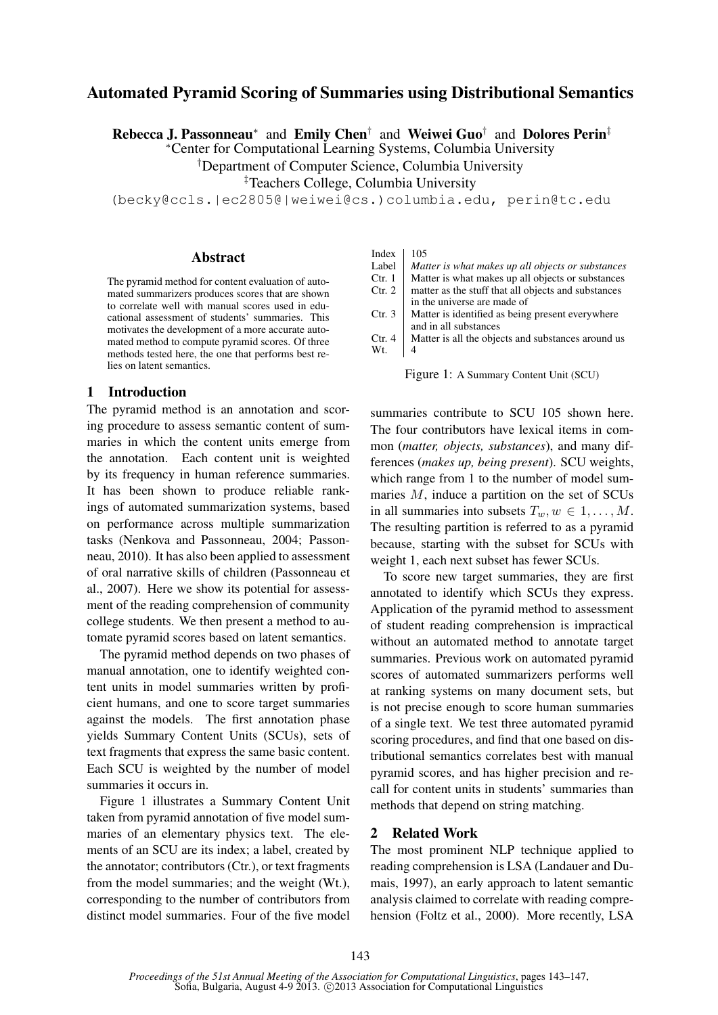# Automated Pyramid Scoring of Summaries using Distributional Semantics

Rebecca J. Passonneau<sup>∗</sup> and Emily Chen<sup>†</sup> and Weiwei Guo<sup>†</sup> and Dolores Perin<sup>‡</sup>

<sup>∗</sup>Center for Computational Learning Systems, Columbia University

†Department of Computer Science, Columbia University

‡Teachers College, Columbia University

(becky@ccls.|ec2805@|weiwei@cs.)columbia.edu, perin@tc.edu

### Abstract

The pyramid method for content evaluation of automated summarizers produces scores that are shown to correlate well with manual scores used in educational assessment of students' summaries. This motivates the development of a more accurate automated method to compute pyramid scores. Of three methods tested here, the one that performs best relies on latent semantics.

#### 1 Introduction

The pyramid method is an annotation and scoring procedure to assess semantic content of summaries in which the content units emerge from the annotation. Each content unit is weighted by its frequency in human reference summaries. It has been shown to produce reliable rankings of automated summarization systems, based on performance across multiple summarization tasks (Nenkova and Passonneau, 2004; Passonneau, 2010). It has also been applied to assessment of oral narrative skills of children (Passonneau et al., 2007). Here we show its potential for assessment of the reading comprehension of community college students. We then present a method to automate pyramid scores based on latent semantics.

The pyramid method depends on two phases of manual annotation, one to identify weighted content units in model summaries written by proficient humans, and one to score target summaries against the models. The first annotation phase yields Summary Content Units (SCUs), sets of text fragments that express the same basic content. Each SCU is weighted by the number of model summaries it occurs in.

Figure 1 illustrates a Summary Content Unit taken from pyramid annotation of five model summaries of an elementary physics text. The elements of an SCU are its index; a label, created by the annotator; contributors (Ctr.), or text fragments from the model summaries; and the weight (Wt.), corresponding to the number of contributors from distinct model summaries. Four of the five model Index  $|105$ 

- Label *Matter is what makes up all objects or substances* Ctr. 1 Matter is what makes up all objects or substances
- Matter is what makes up all objects or substances
- Ctr.  $2 \mid$  matter as the stuff that all objects and substances in the universe are made of
- Ctr.  $3 \mid$  Matter is identified as being present everywhere and in all substances
- Ctr.  $4 \mid$  Matter is all the objects and substances around us Wt.  $|4$

Figure 1: A Summary Content Unit (SCU)

summaries contribute to SCU 105 shown here. The four contributors have lexical items in common (*matter, objects, substances*), and many differences (*makes up, being present*). SCU weights, which range from 1 to the number of model summaries M, induce a partition on the set of SCUs in all summaries into subsets  $T_w, w \in 1, \ldots, M$ . The resulting partition is referred to as a pyramid because, starting with the subset for SCUs with weight 1, each next subset has fewer SCUs.

To score new target summaries, they are first annotated to identify which SCUs they express. Application of the pyramid method to assessment of student reading comprehension is impractical without an automated method to annotate target summaries. Previous work on automated pyramid scores of automated summarizers performs well at ranking systems on many document sets, but is not precise enough to score human summaries of a single text. We test three automated pyramid scoring procedures, and find that one based on distributional semantics correlates best with manual pyramid scores, and has higher precision and recall for content units in students' summaries than methods that depend on string matching.

#### 2 Related Work

The most prominent NLP technique applied to reading comprehension is LSA (Landauer and Dumais, 1997), an early approach to latent semantic analysis claimed to correlate with reading comprehension (Foltz et al., 2000). More recently, LSA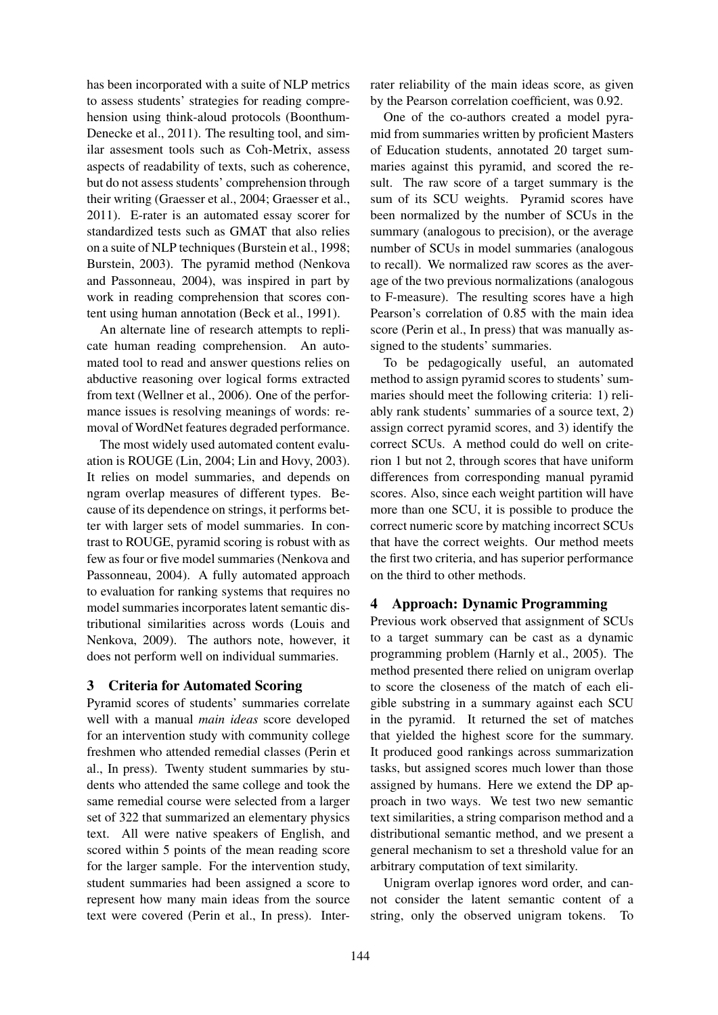has been incorporated with a suite of NLP metrics to assess students' strategies for reading comprehension using think-aloud protocols (Boonthum-Denecke et al., 2011). The resulting tool, and similar assesment tools such as Coh-Metrix, assess aspects of readability of texts, such as coherence, but do not assess students' comprehension through their writing (Graesser et al., 2004; Graesser et al., 2011). E-rater is an automated essay scorer for standardized tests such as GMAT that also relies on a suite of NLP techniques (Burstein et al., 1998; Burstein, 2003). The pyramid method (Nenkova and Passonneau, 2004), was inspired in part by work in reading comprehension that scores content using human annotation (Beck et al., 1991).

An alternate line of research attempts to replicate human reading comprehension. An automated tool to read and answer questions relies on abductive reasoning over logical forms extracted from text (Wellner et al., 2006). One of the performance issues is resolving meanings of words: removal of WordNet features degraded performance.

The most widely used automated content evaluation is ROUGE (Lin, 2004; Lin and Hovy, 2003). It relies on model summaries, and depends on ngram overlap measures of different types. Because of its dependence on strings, it performs better with larger sets of model summaries. In contrast to ROUGE, pyramid scoring is robust with as few as four or five model summaries (Nenkova and Passonneau, 2004). A fully automated approach to evaluation for ranking systems that requires no model summaries incorporates latent semantic distributional similarities across words (Louis and Nenkova, 2009). The authors note, however, it does not perform well on individual summaries.

# 3 Criteria for Automated Scoring

Pyramid scores of students' summaries correlate well with a manual *main ideas* score developed for an intervention study with community college freshmen who attended remedial classes (Perin et al., In press). Twenty student summaries by students who attended the same college and took the same remedial course were selected from a larger set of 322 that summarized an elementary physics text. All were native speakers of English, and scored within 5 points of the mean reading score for the larger sample. For the intervention study, student summaries had been assigned a score to represent how many main ideas from the source text were covered (Perin et al., In press). Interrater reliability of the main ideas score, as given by the Pearson correlation coefficient, was 0.92.

One of the co-authors created a model pyramid from summaries written by proficient Masters of Education students, annotated 20 target summaries against this pyramid, and scored the result. The raw score of a target summary is the sum of its SCU weights. Pyramid scores have been normalized by the number of SCUs in the summary (analogous to precision), or the average number of SCUs in model summaries (analogous to recall). We normalized raw scores as the average of the two previous normalizations (analogous to F-measure). The resulting scores have a high Pearson's correlation of 0.85 with the main idea score (Perin et al., In press) that was manually assigned to the students' summaries.

To be pedagogically useful, an automated method to assign pyramid scores to students' summaries should meet the following criteria: 1) reliably rank students' summaries of a source text, 2) assign correct pyramid scores, and 3) identify the correct SCUs. A method could do well on criterion 1 but not 2, through scores that have uniform differences from corresponding manual pyramid scores. Also, since each weight partition will have more than one SCU, it is possible to produce the correct numeric score by matching incorrect SCUs that have the correct weights. Our method meets the first two criteria, and has superior performance on the third to other methods.

# 4 Approach: Dynamic Programming

Previous work observed that assignment of SCUs to a target summary can be cast as a dynamic programming problem (Harnly et al., 2005). The method presented there relied on unigram overlap to score the closeness of the match of each eligible substring in a summary against each SCU in the pyramid. It returned the set of matches that yielded the highest score for the summary. It produced good rankings across summarization tasks, but assigned scores much lower than those assigned by humans. Here we extend the DP approach in two ways. We test two new semantic text similarities, a string comparison method and a distributional semantic method, and we present a general mechanism to set a threshold value for an arbitrary computation of text similarity.

Unigram overlap ignores word order, and cannot consider the latent semantic content of a string, only the observed unigram tokens. To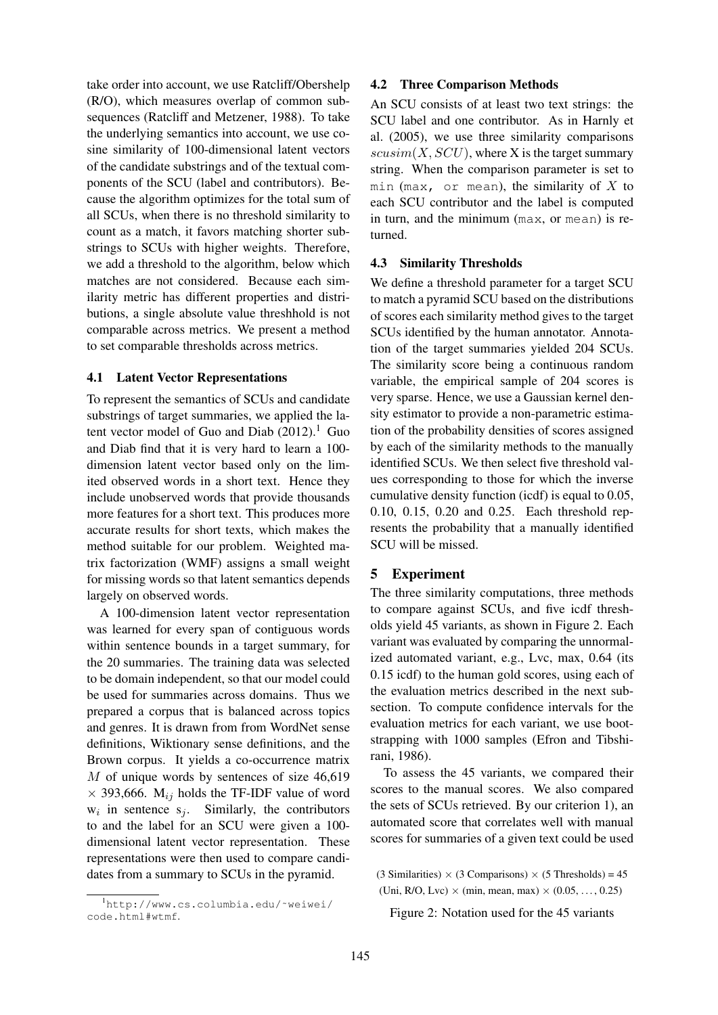take order into account, we use Ratcliff/Obershelp (R/O), which measures overlap of common subsequences (Ratcliff and Metzener, 1988). To take the underlying semantics into account, we use cosine similarity of 100-dimensional latent vectors of the candidate substrings and of the textual components of the SCU (label and contributors). Because the algorithm optimizes for the total sum of all SCUs, when there is no threshold similarity to count as a match, it favors matching shorter substrings to SCUs with higher weights. Therefore, we add a threshold to the algorithm, below which matches are not considered. Because each similarity metric has different properties and distributions, a single absolute value threshhold is not comparable across metrics. We present a method to set comparable thresholds across metrics.

### 4.1 Latent Vector Representations

To represent the semantics of SCUs and candidate substrings of target summaries, we applied the latent vector model of Guo and Diab  $(2012)$ .<sup>1</sup> Guo and Diab find that it is very hard to learn a 100 dimension latent vector based only on the limited observed words in a short text. Hence they include unobserved words that provide thousands more features for a short text. This produces more accurate results for short texts, which makes the method suitable for our problem. Weighted matrix factorization (WMF) assigns a small weight for missing words so that latent semantics depends largely on observed words.

A 100-dimension latent vector representation was learned for every span of contiguous words within sentence bounds in a target summary, for the 20 summaries. The training data was selected to be domain independent, so that our model could be used for summaries across domains. Thus we prepared a corpus that is balanced across topics and genres. It is drawn from from WordNet sense definitions, Wiktionary sense definitions, and the Brown corpus. It yields a co-occurrence matrix M of unique words by sentences of size 46,619  $\times$  393,666. M<sub>ij</sub> holds the TF-IDF value of word  $w_i$  in sentence  $s_j$ . Similarly, the contributors to and the label for an SCU were given a 100 dimensional latent vector representation. These representations were then used to compare candidates from a summary to SCUs in the pyramid.

## 4.2 Three Comparison Methods

An SCU consists of at least two text strings: the SCU label and one contributor. As in Harnly et al. (2005), we use three similarity comparisons  $scusim(X,SCU)$ , where X is the target summary string. When the comparison parameter is set to min (max, or mean), the similarity of  $X$  to each SCU contributor and the label is computed in turn, and the minimum (max, or mean) is returned.

# 4.3 Similarity Thresholds

We define a threshold parameter for a target SCU to match a pyramid SCU based on the distributions of scores each similarity method gives to the target SCUs identified by the human annotator. Annotation of the target summaries yielded 204 SCUs. The similarity score being a continuous random variable, the empirical sample of 204 scores is very sparse. Hence, we use a Gaussian kernel density estimator to provide a non-parametric estimation of the probability densities of scores assigned by each of the similarity methods to the manually identified SCUs. We then select five threshold values corresponding to those for which the inverse cumulative density function (icdf) is equal to 0.05, 0.10, 0.15, 0.20 and 0.25. Each threshold represents the probability that a manually identified SCU will be missed.

# 5 Experiment

The three similarity computations, three methods to compare against SCUs, and five icdf thresholds yield 45 variants, as shown in Figure 2. Each variant was evaluated by comparing the unnormalized automated variant, e.g., Lvc, max, 0.64 (its 0.15 icdf) to the human gold scores, using each of the evaluation metrics described in the next subsection. To compute confidence intervals for the evaluation metrics for each variant, we use bootstrapping with 1000 samples (Efron and Tibshirani, 1986).

To assess the 45 variants, we compared their scores to the manual scores. We also compared the sets of SCUs retrieved. By our criterion 1), an automated score that correlates well with manual scores for summaries of a given text could be used

 $(3 \text{ Similarities}) \times (3 \text{ Comparisons}) \times (5 \text{ Thresholds}) = 45$ (Uni, R/O, Lvc)  $\times$  (min, mean, max)  $\times$  (0.05, ..., 0.25)

Figure 2: Notation used for the 45 variants

<sup>1</sup>http://www.cs.columbia.edu/˜weiwei/ code.html#wtmf.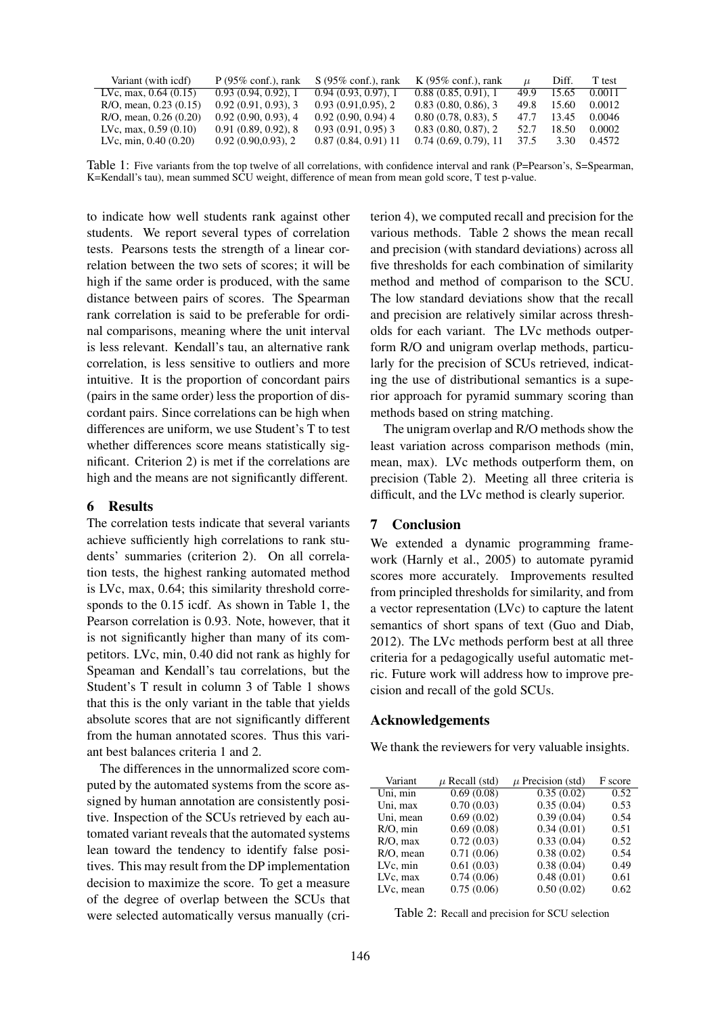| Variant (with icdf)        | $P(95\% \text{ conf.})$ , rank | $S(95\% \text{ conf.})$ , rank | K $(95\% \text{ conf.})$ , rank |      | Diff. | T test |
|----------------------------|--------------------------------|--------------------------------|---------------------------------|------|-------|--------|
| LVc, max, $0.64(0.15)$     | 0.93(0.94, 0.92), 1            | 0.94(0.93, 0.97), 1            | 0.88(0.85, 0.91), 1             | 49.9 | 15.65 | 0.0011 |
| $R/O$ , mean, 0.23 (0.15)  | 0.92(0.91, 0.93), 3            | 0.93(0.91, 0.95), 2            | 0.83(0.80, 0.86), 3             | 49.8 | 15.60 | 0.0012 |
| $R/O$ , mean, $0.26(0.20)$ | 0.92(0.90, 0.93), 4            | $0.92(0.90, 0.94)$ 4           | 0.80(0.78, 0.83), 5             | 47.7 | 13.45 | 0.0046 |
| LVc, max, $0.59(0.10)$     | 0.91(0.89, 0.92), 8            | $0.93(0.91, 0.95)$ 3           | 0.83(0.80, 0.87), 2             | 52.7 | 18.50 | 0.0002 |
| LVc, min, $0.40(0.20)$     | 0.92(0.90, 0.93), 2            | $0.87(0.84, 0.91)$ 11          | 0.74(0.69, 0.79), 11            | 37.5 | 3.30  | 0.4572 |
|                            |                                |                                |                                 |      |       |        |

Table 1: Five variants from the top twelve of all correlations, with confidence interval and rank (P=Pearson's, S=Spearman, K=Kendall's tau), mean summed SCU weight, difference of mean from mean gold score, T test p-value.

to indicate how well students rank against other students. We report several types of correlation tests. Pearsons tests the strength of a linear correlation between the two sets of scores; it will be high if the same order is produced, with the same distance between pairs of scores. The Spearman rank correlation is said to be preferable for ordinal comparisons, meaning where the unit interval is less relevant. Kendall's tau, an alternative rank correlation, is less sensitive to outliers and more intuitive. It is the proportion of concordant pairs (pairs in the same order) less the proportion of discordant pairs. Since correlations can be high when differences are uniform, we use Student's T to test whether differences score means statistically significant. Criterion 2) is met if the correlations are high and the means are not significantly different.

# 6 Results

The correlation tests indicate that several variants achieve sufficiently high correlations to rank students' summaries (criterion 2). On all correlation tests, the highest ranking automated method is LVc, max, 0.64; this similarity threshold corresponds to the 0.15 icdf. As shown in Table 1, the Pearson correlation is 0.93. Note, however, that it is not significantly higher than many of its competitors. LVc, min, 0.40 did not rank as highly for Speaman and Kendall's tau correlations, but the Student's T result in column 3 of Table 1 shows that this is the only variant in the table that yields absolute scores that are not significantly different from the human annotated scores. Thus this variant best balances criteria 1 and 2.

The differences in the unnormalized score computed by the automated systems from the score assigned by human annotation are consistently positive. Inspection of the SCUs retrieved by each automated variant reveals that the automated systems lean toward the tendency to identify false positives. This may result from the DP implementation decision to maximize the score. To get a measure of the degree of overlap between the SCUs that were selected automatically versus manually (criterion 4), we computed recall and precision for the various methods. Table 2 shows the mean recall and precision (with standard deviations) across all five thresholds for each combination of similarity method and method of comparison to the SCU. The low standard deviations show that the recall and precision are relatively similar across thresholds for each variant. The LVc methods outperform R/O and unigram overlap methods, particularly for the precision of SCUs retrieved, indicating the use of distributional semantics is a superior approach for pyramid summary scoring than methods based on string matching.

The unigram overlap and R/O methods show the least variation across comparison methods (min, mean, max). LVc methods outperform them, on precision (Table 2). Meeting all three criteria is difficult, and the LVc method is clearly superior.

## 7 Conclusion

We extended a dynamic programming framework (Harnly et al., 2005) to automate pyramid scores more accurately. Improvements resulted from principled thresholds for similarity, and from a vector representation (LVc) to capture the latent semantics of short spans of text (Guo and Diab, 2012). The LVc methods perform best at all three criteria for a pedagogically useful automatic metric. Future work will address how to improve precision and recall of the gold SCUs.

### Acknowledgements

We thank the reviewers for very valuable insights.

| Variant      | $\mu$ Recall (std) | $\mu$ Precision (std) | F score |
|--------------|--------------------|-----------------------|---------|
| Uni, min     | 0.69(0.08)         | 0.35(0.02)            | 0.52    |
| Uni, max     | 0.70(0.03)         | 0.35(0.04)            | 0.53    |
| Uni, mean    | 0.69(0.02)         | 0.39(0.04)            | 0.54    |
| $R/O$ , min  | 0.69(0.08)         | 0.34(0.01)            | 0.51    |
| $R/O$ , max  | 0.72(0.03)         | 0.33(0.04)            | 0.52    |
| $R/O$ , mean | 0.71(0.06)         | 0.38(0.02)            | 0.54    |
| LVc, min     | 0.61(0.03)         | 0.38(0.04)            | 0.49    |
| LVc, max     | 0.74(0.06)         | 0.48(0.01)            | 0.61    |
| LVc. mean    | 0.75(0.06)         | 0.50(0.02)            | 0.62    |

| Table 2: Recall and precision for SCU selection |  |  |  |  |  |  |
|-------------------------------------------------|--|--|--|--|--|--|
|-------------------------------------------------|--|--|--|--|--|--|